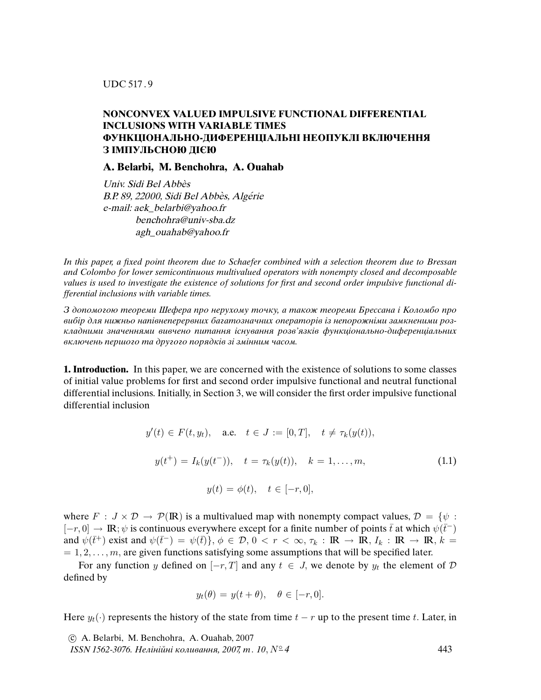UDC 517 . 9

## **NONCONVEX VALUED IMPULSIVE FUNCTIONAL DIFFERENTIAL INCLUSIONS WITH VARIABLE TIMES ФУНКЦIОНАЛЬНО-ДИФЕРЕНЦIАЛЬНI НЕОПУКЛI ВКЛЮЧЕННЯ З IМПУЛЬСНОЮ ДIЄЮ**

**A. Belarbi, M. Benchohra, A. Ouahab**

Univ. Sidi Bel Abbès B.P. 89, 22000, Sidi Bel Abbès, Algérie e-mail: aek\_belarbi@yahoo.fr benchohra@univ-sba.dz agh\_ouahab@yahoo.fr

In this paper, a *fi*xed point theorem due to Schaefer combined with a selection theorem due to Bressan and Colombo for lower semicontinuous multivalued operators with nonempty closed and decomposable values is used to investigate the existence of solutions for *fi*rst and second order impulsive functional differential inclusions with variable times.

З допомогою теореми Шефера про нерухому точку, а також теореми Брессана i Коломбо про вибiр для нижньо напiвнеперервних багатозначних операторiв iз непорожнiми замкненими розкладними значеннями вивчено питання iснування розв'язкiв функцiонально-диференцiальних включень першого та другого порядкiв зi змiнним часом.

**1. Introduction.** In this paper, we are concerned with the existence of solutions to some classes of initial value problems for first and second order impulsive functional and neutral functional differential inclusions. Initially, in Section 3, we will consider the first order impulsive functional differential inclusion

$$
y'(t) \in F(t, y_t), \quad \text{a.e.} \quad t \in J := [0, T], \quad t \neq \tau_k(y(t)),
$$

$$
y(t^+) = I_k(y(t^-)), \quad t = \tau_k(y(t)), \quad k = 1, ..., m,
$$

$$
y(t) = \phi(t), \quad t \in [-r, 0],
$$
 (1.1)

where  $F : J \times D \to \mathcal{P}(\mathbb{R})$  is a multivalued map with nonempty compact values,  $D = \{ \psi :$  $[-r, 0] \rightarrow \mathbb{R}; \psi$  is continuous everywhere except for a finite number of points  $\bar{t}$  at which  $\psi(\bar{t}^-)$ and  $\psi(\bar{t}^+)$  exist and  $\psi(\bar{t}^-) = \psi(\bar{t})\}, \phi \in \mathcal{D}, 0 < r < \infty, \tau_k : \mathbb{R} \to \mathbb{R}, I_k : \mathbb{R} \to \mathbb{R}, k =$  $= 1, 2, \ldots, m$ , are given functions satisfying some assumptions that will be specified later.

For any function y defined on  $[-r, T]$  and any  $t \in J$ , we denote by  $y_t$  the element of  $D$ defined by

$$
y_t(\theta) = y(t + \theta), \quad \theta \in [-r, 0].
$$

Here  $y_t(\cdot)$  represents the history of the state from time  $t - r$  up to the present time t. Later, in

 c A. Belarbi, M. Benchohra, A. Ouahab, 2007 ISSN 1562-3076. Нелінійні коливання, 2007, т. 10,  $N^{\circ}$ 4  $\qquad 43$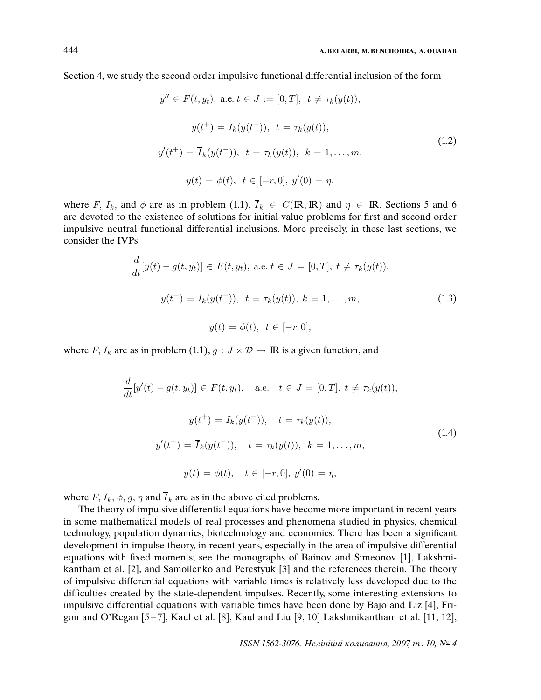Section 4, we study the second order impulsive functional differential inclusion of the form

$$
y'' \in F(t, y_t), \text{ a.e. } t \in J := [0, T], \ t \neq \tau_k(y(t)),
$$

$$
y(t^+) = I_k(y(t^-)), \ t = \tau_k(y(t)),
$$

$$
y'(t^+) = \overline{I}_k(y(t^-)), \ t = \tau_k(y(t)), \ k = 1, ..., m,
$$

$$
y(t) = \phi(t), \ t \in [-r, 0], \ y'(0) = \eta,
$$
 (1.2)

where F,  $I_k$ , and  $\phi$  are as in problem (1.1),  $\overline{I}_k \in C(\mathbb{R}, \mathbb{R})$  and  $\eta \in \mathbb{R}$ . Sections 5 and 6 are devoted to the existence of solutions for initial value problems for first and second order impulsive neutral functional differential inclusions. More precisely, in these last sections, we consider the IVPs

$$
\frac{d}{dt}[y(t) - g(t, y_t)] \in F(t, y_t), \text{ a.e. } t \in J = [0, T], \ t \neq \tau_k(y(t)),
$$

$$
y(t^+) = I_k(y(t^-)), \ t = \tau_k(y(t)), \ k = 1, ..., m,
$$

$$
y(t) = \phi(t), \ t \in [-r, 0],
$$
 (1.3)

where F,  $I_k$  are as in problem (1.1),  $g: J \times D \rightarrow \mathbb{R}$  is a given function, and

$$
\frac{d}{dt}[y'(t) - g(t, y_t)] \in F(t, y_t), \quad \text{a.e.} \quad t \in J = [0, T], \ t \neq \tau_k(y(t)),
$$
\n
$$
y(t^+) = I_k(y(t^-)), \quad t = \tau_k(y(t)),
$$
\n
$$
y'(t^+) = \overline{I}_k(y(t^-)), \quad t = \tau_k(y(t)), \quad k = 1, \dots, m,
$$
\n
$$
y(t) = \phi(t), \quad t \in [-r, 0], \ y'(0) = \eta,
$$
\n
$$
(1.4)
$$

where  $F, I_k, \phi, g, \eta$  and  $\overline{I}_k$  are as in the above cited problems.

The theory of impulsive differential equations have become more important in recent years in some mathematical models of real processes and phenomena studied in physics, chemical technology, population dynamics, biotechnology and economics. There has been a significant development in impulse theory, in recent years, especially in the area of impulsive differential equations with fixed moments; see the monographs of Bainov and Simeonov [1], Lakshmikantham et al. [2], and Samoilenko and Perestyuk [3] and the references therein. The theory of impulsive differential equations with variable times is relatively less developed due to the difficulties created by the state-dependent impulses. Recently, some interesting extensions to impulsive differential equations with variable times have been done by Bajo and Liz [4], Frigon and O'Regan [5 – 7], Kaul et al. [8], Kaul and Liu [9, 10] Lakshmikantham et al. [11, 12],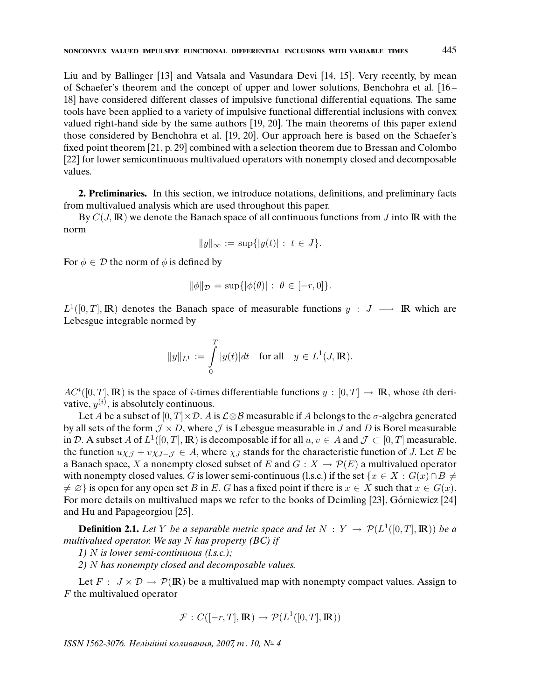Liu and by Ballinger [13] and Vatsala and Vasundara Devi [14, 15]. Very recently, by mean of Schaefer's theorem and the concept of upper and lower solutions, Benchohra et al. [16 – 18] have considered different classes of impulsive functional differential equations. The same tools have been applied to a variety of impulsive functional differential inclusions with convex valued right-hand side by the same authors [19, 20]. The main theorems of this paper extend those considered by Benchohra et al. [19, 20]. Our approach here is based on the Schaefer's fixed point theorem [21, p. 29] combined with a selection theorem due to Bressan and Colombo [22] for lower semicontinuous multivalued operators with nonempty closed and decomposable values.

**2. Preliminaries.** In this section, we introduce notations, definitions, and preliminary facts from multivalued analysis which are used throughout this paper.

By  $C(J, \mathbb{R})$  we denote the Banach space of all continuous functions from J into IR with the norm

$$
||y||_{\infty} := \sup\{|y(t)| : t \in J\}.
$$

For  $\phi \in \mathcal{D}$  the norm of  $\phi$  is defined by

$$
\|\phi\|_{\mathcal{D}} = \sup\{|\phi(\theta)| : \ \theta \in [-r, 0]\}.
$$

 $L^1([0,T], \mathbb{R})$  denotes the Banach space of measurable functions  $y : J \longrightarrow \mathbb{R}$  which are Lebesgue integrable normed by

$$
\|y\|_{L^1} := \int\limits_0^T |y(t)| dt \quad \text{for all} \quad y \in L^1(J, \mathbb{R}).
$$

 $AC^{i}([0,T], \mathbb{R})$  is the space of *i*-times differentiable functions  $y : [0,T] \to \mathbb{R}$ , whose *i*th derivative,  $y^{(i)}$ , is absolutely continuous.

Let A be a subset of  $[0, T] \times \mathcal{D}$ . A is  $\mathcal{L} \otimes \mathcal{B}$  measurable if A belongs to the  $\sigma$ -algebra generated by all sets of the form  $\mathcal{J} \times D$ , where  $\mathcal{J}$  is Lebesgue measurable in J and D is Borel measurable in D. A subset A of  $L^1([0,T], \mathbb{R})$  is decomposable if for all  $u, v \in A$  and  $\mathcal{J} \subset [0,T]$  measurable, the function  $u\chi_{\mathcal{J}} + v\chi_{J-\mathcal{J}} \in A$ , where  $\chi_J$  stands for the characteristic function of J. Let E be a Banach space, X a nonempty closed subset of E and  $G : X \to \mathcal{P}(E)$  a multivalued operator with nonempty closed values. G is lower semi-continuous (l.s.c.) if the set { $x \in X : G(x) \cap B \neq \emptyset$  $\neq \emptyset$  is open for any open set B in E. G has a fixed point if there is  $x \in X$  such that  $x \in G(x)$ . For more details on multivalued maps we refer to the books of Deimling [23], Górniewicz [24] and Hu and Papageorgiou [25].

**Definition 2.1.** Let Y be a separable metric space and let  $N: Y \to \mathcal{P}(L^1([0,T], \mathbb{R}))$  be a multivalued operator. We say  $N$  has property (BC) if

1) N is lower semi-continuous  $(l.s.c.)$ ;

2) N has nonempty closed and decomposable values.

Let  $F : J \times D \to P(\mathbb{R})$  be a multivalued map with nonempty compact values. Assign to F the multivalued operator

$$
\mathcal{F}: C([-r, T], \mathbb{R}) \to \mathcal{P}(L^1([0, T], \mathbb{R}))
$$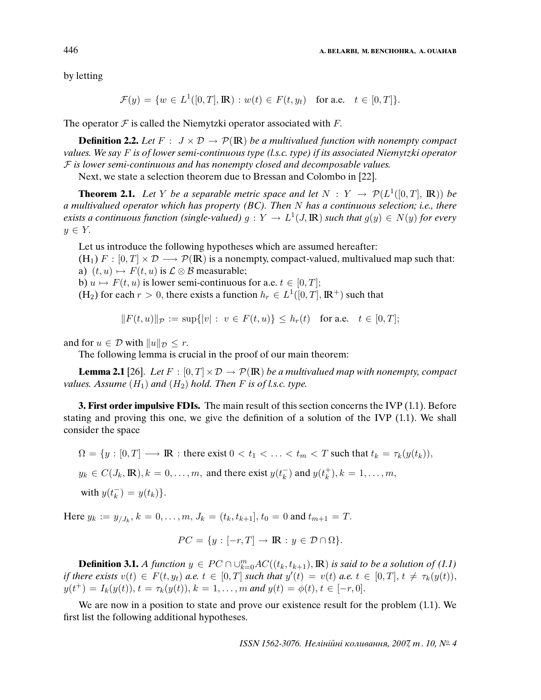by letting

$$
\mathcal{F}(y) = \{ w \in L^1([0, T], \mathbb{R}) : w(t) \in F(t, y_t) \text{ for a.e. } t \in [0, T] \}.
$$

The operator  $\mathcal F$  is called the Niemytzki operator associated with  $F$ .

**Definition 2.2.** Let  $F : J \times D \rightarrow \mathcal{P}(\mathbb{R})$  be a multivalued function with nonempty compact values. We say F is of lower semi-continuous type (l.s.c. type) if its associated Niemytzki operator  $F$  is lower semi-continuous and has nonempty closed and decomposable values.

Next, we state a selection theorem due to Bressan and Colombo in [22].

**Theorem 2.1.** Let Y be a separable metric space and let  $N: Y \to \mathcal{P}(L^1([0,T], \mathbb{R}))$  be a multivalued operator which has property (BC). Then N has a continuous selection; i.e., there exists a continuous function (single-valued)  $g: Y \to L^1(J, \mathbb{R})$  such that  $g(y) \in N(y)$  for every  $y \in Y$ .

Let us introduce the following hypotheses which are assumed hereafter: (H<sub>1</sub>)  $F : [0, T] \times \mathcal{D} \longrightarrow \mathcal{P}(\mathbb{R})$  is a nonempty, compact-valued, multivalued map such that: a)  $(t, u) \mapsto F(t, u)$  is  $\mathcal{L} \otimes \mathcal{B}$  measurable;

b)  $u \mapsto F(t, u)$  is lower semi-continuous for a.e.  $t \in [0, T]$ ;

(H<sub>2</sub>) for each  $r > 0$ , there exists a function  $h_r \in L^1([0, T], \mathbb{R}^+)$  such that

$$
||F(t, u)||_{\mathcal{P}} := \sup\{|v| : v \in F(t, u)\} \le h_r(t) \text{ for a.e. } t \in [0, T];
$$

and for  $u \in \mathcal{D}$  with  $||u||_{\mathcal{D}} \leq r$ .

The following lemma is crucial in the proof of our main theorem:

**Lemma 2.1** [26]. Let  $F : [0, T] \times \mathcal{D} \rightarrow \mathcal{P}(\mathbb{R})$  be a multivalued map with nonempty, compact values. Assume  $(H_1)$  and  $(H_2)$  hold. Then F is of l.s.c. type.

**3. First order impulsive FDIs.** The main result of this section concerns the IVP (1.1). Before stating and proving this one, we give the definition of a solution of the IVP (1.1). We shall consider the space

 $\Omega = \{y : [0, T] \longrightarrow \mathbb{R} : \text{there exist } 0 < t_1 < \ldots < t_m < T \text{ such that } t_k = \tau_k(y(t_k)),$  $y_k \in C(J_k, \mathbb{R}), k = 0, \ldots, m$ , and there exist  $y(t_k^{-})$  $\binom{1}{k}$  and  $y(t_k^+)$  $_{k}^{+}), k = 1, \ldots, m,$ 

with 
$$
y(t_k^-) = y(t_k)
$$
.

Here  $y_k := y_{/J_k}, k = 0, \ldots, m, J_k = (t_k, t_{k+1}], t_0 = 0$  and  $t_{m+1} = T$ .

$$
PC = \{ y : [-r, T] \to \mathbb{R} : y \in \mathcal{D} \cap \Omega \}.
$$

**Definition 3.1.** A function  $y \in PC \cap \cup_{k=0}^m AC((t_k, t_{k+1}), \mathbb{R})$  is said to be a solution of (1.1) if there exists  $v(t) \in F(t, y_t)$  a.e.  $t \in [0, T]$  such that  $y'(t) = v(t)$  a.e.  $t \in [0, T]$ ,  $t \neq \tau_k(y(t))$ ,  $y(t^+) = I_k(y(t)), t = \tau_k(y(t)), k = 1, \ldots, m$  and  $y(t) = \phi(t), t \in [-r, 0].$ 

We are now in a position to state and prove our existence result for the problem (1.1). We first list the following additional hypotheses.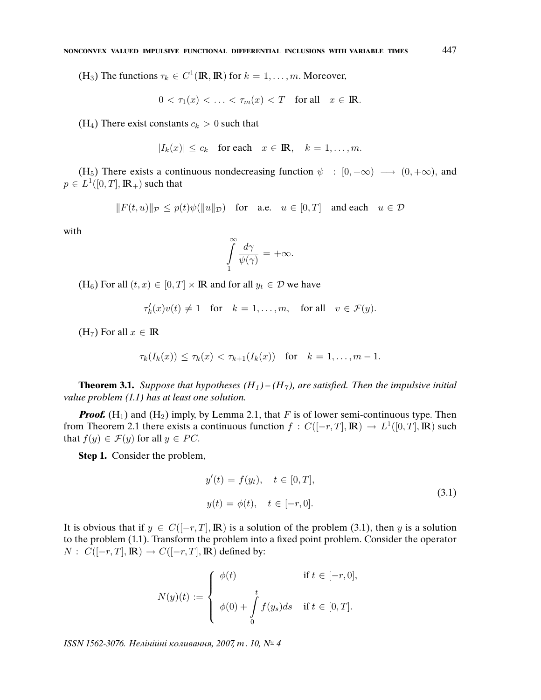(H<sub>3</sub>) The functions  $\tau_k \in C^1(\mathbb{R}, \mathbb{R})$  for  $k = 1, \ldots, m$ . Moreover,

$$
0 < \tau_1(x) < \ldots < \tau_m(x) < T \quad \text{for all} \quad x \in \mathbb{R}.
$$

(H<sub>4</sub>) There exist constants  $c_k > 0$  such that

$$
|I_k(x)| \le c_k \quad \text{for each} \quad x \in \mathbb{R}, \quad k = 1, \dots, m.
$$

(H<sub>5</sub>) There exists a continuous nondecreasing function  $\psi : [0, +\infty) \longrightarrow (0, +\infty)$ , and  $p \in L^1([0,T],{\rm I\! R}_+)$  such that

$$
||F(t, u)||_{\mathcal{P}} \leq p(t)\psi(||u||_{\mathcal{D}})
$$
 for a.e.  $u \in [0, T]$  and each  $u \in \mathcal{D}$ 

with

$$
\int_{1}^{\infty} \frac{d\gamma}{\psi(\gamma)} = +\infty.
$$

 $(H_6)$  For all  $(t, x) \in [0, T] \times \mathbb{R}$  and for all  $y_t \in \mathcal{D}$  we have

$$
\tau'_k(x)v(t) \neq 1 \quad \text{for} \quad k = 1, \dots, m, \quad \text{for all} \quad v \in \mathcal{F}(y).
$$

(H<sub>7</sub>) For all  $x \in \mathbb{R}$ 

$$
\tau_k(I_k(x)) \le \tau_k(x) < \tau_{k+1}(I_k(x)) \quad \text{for} \quad k = 1, \ldots, m-1.
$$

**Theorem 3.1.** Suppose that hypotheses  $(H_1) - (H_7)$ , are satisfied. Then the impulsive initial value problem (1.1) has at least one solution.

**Proof.**  $(H_1)$  and  $(H_2)$  imply, by Lemma 2.1, that F is of lower semi-continuous type. Then from Theorem 2.1 there exists a continuous function  $f: C([-r,T], \mathbb{R}) \to L^1([0,T], \mathbb{R})$  such that  $f(y) \in \mathcal{F}(y)$  for all  $y \in PC$ .

**Step 1.** Consider the problem,

$$
y'(t) = f(y_t), \quad t \in [0, T],
$$
  

$$
y(t) = \phi(t), \quad t \in [-r, 0].
$$
 (3.1)

It is obvious that if  $y \in C([-r, T], \mathbb{R})$  is a solution of the problem (3.1), then y is a solution to the problem (1.1). Transform the problem into a fixed point problem. Consider the operator  $N: C([-r, T], \mathbb{R}) \to C([-r, T], \mathbb{R})$  defined by:

$$
N(y)(t) := \begin{cases} \phi(t) & \text{if } t \in [-r, 0], \\ \phi(0) + \int_{0}^{t} f(y_s) ds & \text{if } t \in [0, T]. \end{cases}
$$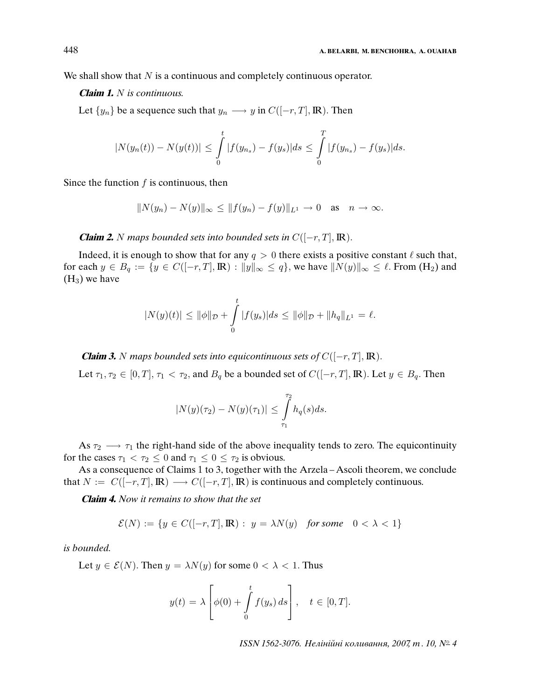We shall show that  $N$  is a continuous and completely continuous operator.

## **Claim 1.** N is continuous.

Let  $\{y_n\}$  be a sequence such that  $y_n \longrightarrow y$  in  $C([-r, T], \mathbb{R})$ . Then

$$
|N(y_n(t)) - N(y(t))| \leq \int_0^t |f(y_{n_s}) - f(y_s)| ds \leq \int_0^T |f(y_{n_s}) - f(y_s)| ds.
$$

Since the function  $f$  is continuous, then

$$
||N(y_n) - N(y)||_{\infty} \le ||f(y_n) - f(y)||_{L^1} \to 0 \text{ as } n \to \infty.
$$

**Claim 2.** N maps bounded sets into bounded sets in  $C([-r, T], \mathbb{R})$ .

Indeed, it is enough to show that for any  $q > 0$  there exists a positive constant  $\ell$  such that, for each  $y \in B_q := \{y \in C([-r, T], \mathbb{R}) : ||y||_{\infty} \leq q\}$ , we have  $||N(y)||_{\infty} \leq \ell$ . From  $(H_2)$  and  $(H_3)$  we have

$$
|N(y)(t)| \le ||\phi||_{\mathcal{D}} + \int_{0}^{t} |f(y_s)|ds \le ||\phi||_{\mathcal{D}} + ||h_q||_{L^1} = \ell.
$$

**Claim 3.** N maps bounded sets into equicontinuous sets of  $C([-r, T], \mathbb{R})$ .

Let  $\tau_1, \tau_2 \in [0, T], \tau_1 < \tau_2$ , and  $B_q$  be a bounded set of  $C([-r, T], \mathbb{R})$ . Let  $y \in B_q$ . Then

$$
|N(y)(\tau_2) - N(y)(\tau_1)| \leq \int_{\tau_1}^{\tau_2} h_q(s) ds.
$$

As  $\tau_2 \longrightarrow \tau_1$  the right-hand side of the above inequality tends to zero. The equicontinuity for the cases  $\tau_1 < \tau_2 \leq 0$  and  $\tau_1 \leq 0 \leq \tau_2$  is obvious.

As a consequence of Claims 1 to 3, together with the Arzela – Ascoli theorem, we conclude that  $N := C([-r, T], \mathbb{R}) \longrightarrow C([-r, T], \mathbb{R})$  is continuous and completely continuous.

**Claim 4.** Now it remains to show that the set

$$
\mathcal{E}(N) := \{ y \in C([-r, T], \mathbb{R}) : y = \lambda N(y) \text{ for some } 0 < \lambda < 1 \}
$$

is bounded.

Let  $y \in \mathcal{E}(N)$ . Then  $y = \lambda N(y)$  for some  $0 < \lambda < 1$ . Thus

$$
y(t) = \lambda \left[ \phi(0) + \int_0^t f(y_s) ds \right], \quad t \in [0, T].
$$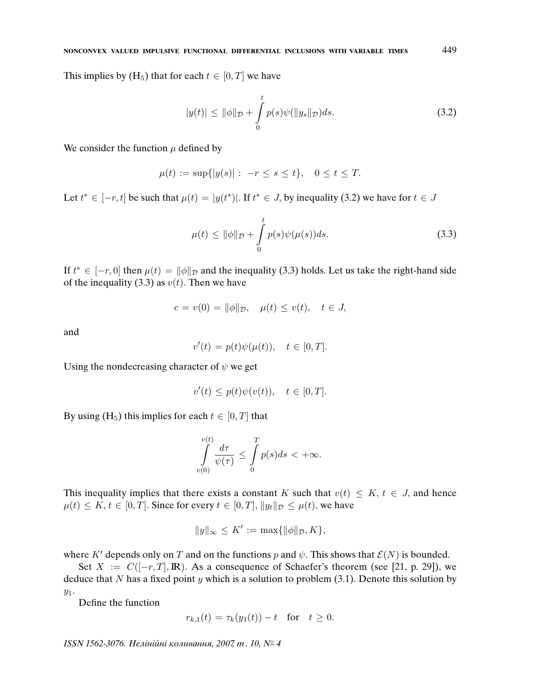This implies by  $(H_5)$  that for each  $t \in [0, T]$  we have

$$
|y(t)| \le ||\phi||_{\mathcal{D}} + \int_{0}^{t} p(s)\psi(||y_s||_{\mathcal{D}})ds.
$$
 (3.2)

We consider the function  $\mu$  defined by

$$
\mu(t) := \sup\{|y(s)|: -r \le s \le t\}, \quad 0 \le t \le T.
$$

Let  $t^* \in [-r, t]$  be such that  $\mu(t) = |y(t^*)|$ . If  $t^* \in J$ , by inequality (3.2) we have for  $t \in J$ 

$$
\mu(t) \le \|\phi\|_{\mathcal{D}} + \int_{0}^{t} p(s)\psi(\mu(s))ds.
$$
\n(3.3)

If  $t^* \in [-r, 0]$  then  $\mu(t) = ||\phi||_{\mathcal{D}}$  and the inequality (3.3) holds. Let us take the right-hand side of the inequality (3.3) as  $v(t)$ . Then we have

$$
c = v(0) = ||\phi||_{\mathcal{D}}, \quad \mu(t) \le v(t), \quad t \in J,
$$

and

$$
v'(t) = p(t)\psi(\mu(t)), \quad t \in [0, T].
$$

Using the nondecreasing character of  $\psi$  we get

$$
v'(t) \le p(t)\psi(v(t)), \quad t \in [0, T].
$$

By using  $(H_5)$  this implies for each  $t \in [0, T]$  that

$$
\int_{v(0)}^{v(t)} \frac{d\tau}{\psi(\tau)} \le \int_{0}^{T} p(s)ds < +\infty.
$$

This inequality implies that there exists a constant K such that  $v(t) \leq K$ ,  $t \in J$ , and hence  $\mu(t) \leq K, t \in [0, T]$ . Since for every  $t \in [0, T]$ ,  $||y_t||_{\mathcal{D}} \leq \mu(t)$ , we have

$$
||y||_{\infty} \leq K' := \max{||\phi||_{\mathcal{D}}, K},
$$

where K' depends only on T and on the functions p and  $\psi$ . This shows that  $\mathcal{E}(N)$  is bounded.

Set  $X := C([-r, T], \mathbb{R})$ . As a consequence of Schaefer's theorem (see [21, p. 29]), we deduce that N has a fixed point y which is a solution to problem  $(3.1)$ . Denote this solution by  $y_1$ .

Define the function

$$
r_{k,1}(t) = \tau_k(y_1(t)) - t
$$
 for  $t \ge 0$ .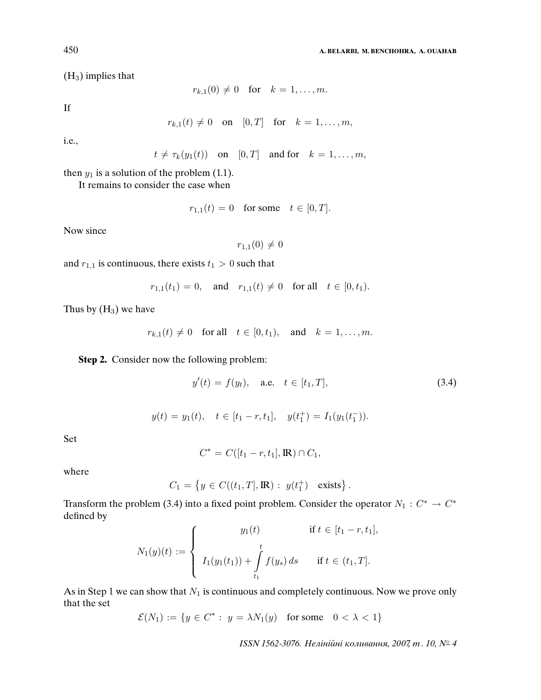(H3) implies that

$$
r_{k,1}(0) \neq 0 \quad \text{for} \quad k = 1, \ldots, m.
$$

If

$$
r_{k,1}(t) \neq 0 \quad \text{on} \quad [0,T] \quad \text{for} \quad k = 1,\ldots,m,
$$

i.e.,

$$
t \neq \tau_k(y_1(t))
$$
 on  $[0,T]$  and for  $k = 1,...,m$ ,

then  $y_1$  is a solution of the problem (1.1).

It remains to consider the case when

$$
r_{1,1}(t) = 0 \quad \text{for some} \quad t \in [0, T].
$$

Now since

$$
r_{1,1}(0)\neq 0
$$

and  $r_{1,1}$  is continuous, there exists  $t_1 > 0$  such that

$$
r_{1,1}(t_1) = 0
$$
, and  $r_{1,1}(t) \neq 0$  for all  $t \in [0, t_1)$ .

Thus by  $(H_3)$  we have

$$
r_{k,1}(t) \neq 0 \quad \text{for all} \quad t \in [0, t_1), \quad \text{and} \quad k = 1, \dots, m.
$$

**Step 2.** Consider now the following problem:

$$
y'(t) = f(y_t), \quad \text{a.e.} \quad t \in [t_1, T], \tag{3.4}
$$

$$
y(t) = y_1(t), \quad t \in [t_1 - r, t_1], \quad y(t_1^+) = I_1(y_1(t_1^-)).
$$

Set

$$
C^* = C([t_1 - r, t_1], \mathbb{R}) \cap C_1,
$$

where

$$
C_1 = \{ y \in C((t_1, T], \mathbb{R}) : y(t_1^+) \text{ exists } \}.
$$

Transform the problem (3.4) into a fixed point problem. Consider the operator  $N_1 : C^* \to C^*$ defined by

$$
N_1(y)(t) := \begin{cases} y_1(t) & \text{if } t \in [t_1 - r, t_1], \\ I_1(y_1(t_1)) + \int\limits_{t_1}^t f(y_s) ds & \text{if } t \in (t_1, T]. \end{cases}
$$

As in Step 1 we can show that  $N_1$  is continuous and completely continuous. Now we prove only that the set

$$
\mathcal{E}(N_1):=\{y\in C^*:\ y=\lambda N_1(y)\quad\text{for some}\quad 0<\lambda<1\}
$$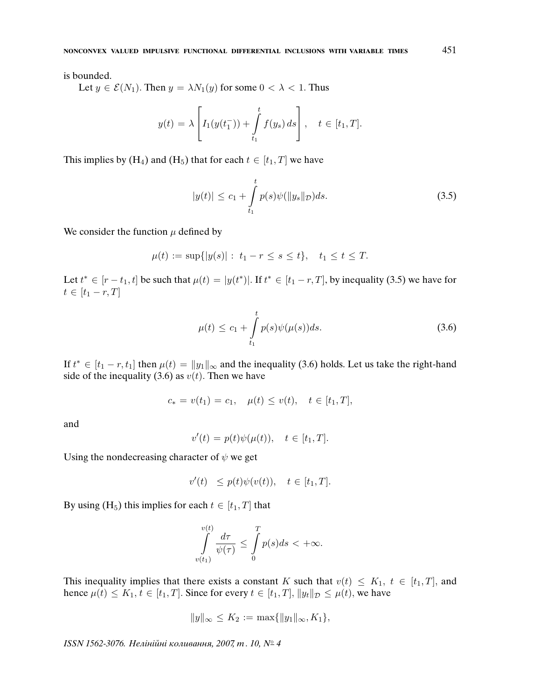is bounded.

Let  $y \in \mathcal{E}(N_1)$ . Then  $y = \lambda N_1(y)$  for some  $0 < \lambda < 1$ . Thus

$$
y(t) = \lambda \left[ I_1(y(t_1^-)) + \int_{t_1}^t f(y_s) ds \right], \quad t \in [t_1, T].
$$

This implies by  $(H_4)$  and  $(H_5)$  that for each  $t \in [t_1, T]$  we have

$$
|y(t)| \le c_1 + \int_{t_1}^t p(s)\psi(||y_s||_{\mathcal{D}})ds.
$$
 (3.5)

We consider the function  $\mu$  defined by

$$
\mu(t) := \sup\{|y(s)| : t_1 - r \le s \le t\}, \quad t_1 \le t \le T.
$$

Let  $t^* \in [r-t_1, t]$  be such that  $\mu(t) = |y(t^*)|$ . If  $t^* \in [t_1 - r, T]$ , by inequality (3.5) we have for  $t \in [t_1 - r, T]$ 

$$
\mu(t) \le c_1 + \int_{t_1}^t p(s)\psi(\mu(s))ds.
$$
\n(3.6)

If  $t^* \in [t_1 - r, t_1]$  then  $\mu(t) = ||y_1||_{\infty}$  and the inequality (3.6) holds. Let us take the right-hand side of the inequality (3.6) as  $v(t)$ . Then we have

$$
c_* = v(t_1) = c_1, \quad \mu(t) \le v(t), \quad t \in [t_1, T],
$$

and

$$
v'(t) = p(t)\psi(\mu(t)), \quad t \in [t_1, T].
$$

Using the nondecreasing character of  $\psi$  we get

$$
v'(t) \le p(t)\psi(v(t)), \quad t \in [t_1, T].
$$

By using (H<sub>5</sub>) this implies for each  $t \in [t_1, T]$  that

$$
\int\limits_{v(t_1)}^{v(t)}\frac{d\tau}{\psi(\tau)}\leq \int\limits_0^Tp(s)ds<+\infty.
$$

This inequality implies that there exists a constant K such that  $v(t) \leq K_1$ ,  $t \in [t_1, T]$ , and hence  $\mu(t) \leq K_1, t \in [t_1, T]$ . Since for every  $t \in [t_1, T]$ ,  $||y_t||_{\mathcal{D}} \leq \mu(t)$ , we have

$$
||y||_{\infty} \le K_2 := \max\{||y_1||_{\infty}, K_1\},\
$$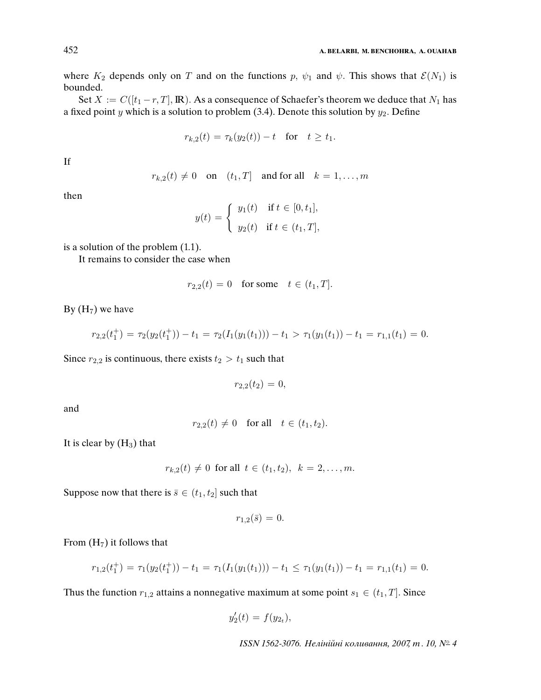where  $K_2$  depends only on T and on the functions p,  $\psi_1$  and  $\psi$ . This shows that  $\mathcal{E}(N_1)$  is bounded.

Set  $X := C([t_1 - r, T], \mathbb{R})$ . As a consequence of Schaefer's theorem we deduce that  $N_1$  has a fixed point y which is a solution to problem (3.4). Denote this solution by  $y_2$ . Define

$$
r_{k,2}(t) = \tau_k(y_2(t)) - t \quad \text{for} \quad t \ge t_1.
$$

If

$$
r_{k,2}(t) \neq 0
$$
 on  $(t_1, T]$  and for all  $k = 1, ..., m$ 

then

$$
y(t) = \begin{cases} y_1(t) & \text{if } t \in [0, t_1], \\ y_2(t) & \text{if } t \in (t_1, T], \end{cases}
$$

is a solution of the problem (1.1).

It remains to consider the case when

$$
r_{2,2}(t) = 0
$$
 for some  $t \in (t_1, T]$ .

By  $(H_7)$  we have

$$
r_{2,2}(t_1^+) = \tau_2(y_2(t_1^+)) - t_1 = \tau_2(I_1(y_1(t_1))) - t_1 > \tau_1(y_1(t_1)) - t_1 = r_{1,1}(t_1) = 0.
$$

Since  $r_{2,2}$  is continuous, there exists  $t_2 > t_1$  such that

 $r_{2,2}(t_2) = 0$ ,

and

$$
r_{2,2}(t) \neq 0 \quad \text{for all} \quad t \in (t_1, t_2).
$$

It is clear by  $(H_3)$  that

$$
r_{k,2}(t) \neq 0
$$
 for all  $t \in (t_1, t_2)$ ,  $k = 2, ..., m$ .

Suppose now that there is  $\bar{s} \in (t_1, t_2]$  such that

$$
r_{1,2}(\bar{s})=0.
$$

From  $(H<sub>7</sub>)$  it follows that

$$
r_{1,2}(t_1^+) = \tau_1(y_2(t_1^+)) - t_1 = \tau_1(I_1(y_1(t_1))) - t_1 \leq \tau_1(y_1(t_1)) - t_1 = r_{1,1}(t_1) = 0.
$$

Thus the function  $r_{1,2}$  attains a nonnegative maximum at some point  $s_1 \in (t_1, T]$ . Since

$$
y_2'(t) = f(y_{2_t}),
$$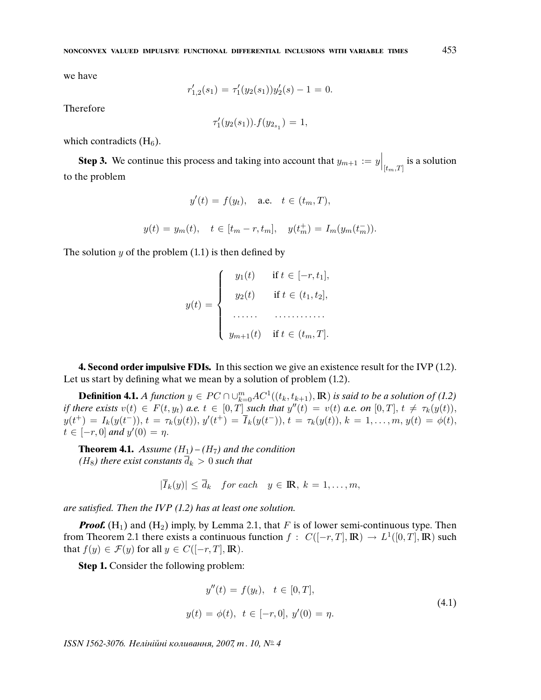we have

$$
r'_{1,2}(s_1) = \tau'_1(y_2(s_1))y'_2(s) - 1 = 0.
$$

Therefore

$$
\tau_1'(y_2(s_1)).f(y_{2s_1})=1,
$$

which contradicts  $(H_6)$ .

**Step 3.** We continue this process and taking into account that  $y_{m+1} := y \Big|_{[t_m,T]}$  is a solution to the problem

$$
y'(t) = f(y_t), \quad \text{a.e.} \quad t \in (t_m, T),
$$

$$
y(t) = y_m(t), \quad t \in [t_m - r, t_m], \quad y(t_m^+) = I_m(y_m(t_m^-)).
$$

The solution  $y$  of the problem  $(1.1)$  is then defined by

 $y(t) =$  $\sqrt{ }$  $\int$  $\overline{\mathcal{L}}$  $y_1(t)$  if  $t \in [-r, t_1],$  $y_2(t)$  if  $t \in (t_1, t_2]$ , . . . . . . . . . . . . . . . . . .  $y_{m+1}(t)$  if  $t \in (t_m, T]$ .

**4. Second order impulsive FDIs.** In this section we give an existence result for the IVP (1.2). Let us start by defining what we mean by a solution of problem (1.2).

**Definition 4.1.** A function  $y \in PC \cap \cup_{k=0}^{m} AC^1((t_k, t_{k+1}), \mathbb{R})$  is said to be a solution of (1.2) if there exists  $v(t) \in F(t, y_t)$  a.e.  $t \in [0, T]$  such that  $y''(t) = v(t)$  a.e. on  $[0, T]$ ,  $t \neq \tau_k(y(t))$ ,  $y(t^+) = I_k(y(t^-)), t = \tau_k(y(t)), y'(t^+) = \overline{I}_k(y(t^-)), t = \tau_k(y(t)), k = 1, \ldots, m, y(t) = \phi(t),$  $t \in [-r, 0]$  and  $y'(0) = \eta$ .

**Theorem 4.1.** Assume  $(H_1) - (H_7)$  and the condition (H<sub>8</sub>) there exist constants  $\overline{d}_k > 0$  such that

 $|\overline{I}_k(y)| \leq \overline{d}_k$  for each  $y \in \mathbb{R}, k = 1, \ldots, m$ ,

are satis*fi*ed. Then the IVP (1.2) has at least one solution.

**Proof.**  $(H_1)$  and  $(H_2)$  imply, by Lemma 2.1, that F is of lower semi-continuous type. Then from Theorem 2.1 there exists a continuous function  $f: C([-r,T], \mathbb{R}) \to L^1([0,T], \mathbb{R})$  such that  $f(y) \in \mathcal{F}(y)$  for all  $y \in C([-r, T], \mathbb{R})$ .

**Step 1.** Consider the following problem:

$$
y''(t) = f(y_t), \quad t \in [0, T],
$$
  

$$
y(t) = \phi(t), \quad t \in [-r, 0], \quad y'(0) = \eta.
$$
 (4.1)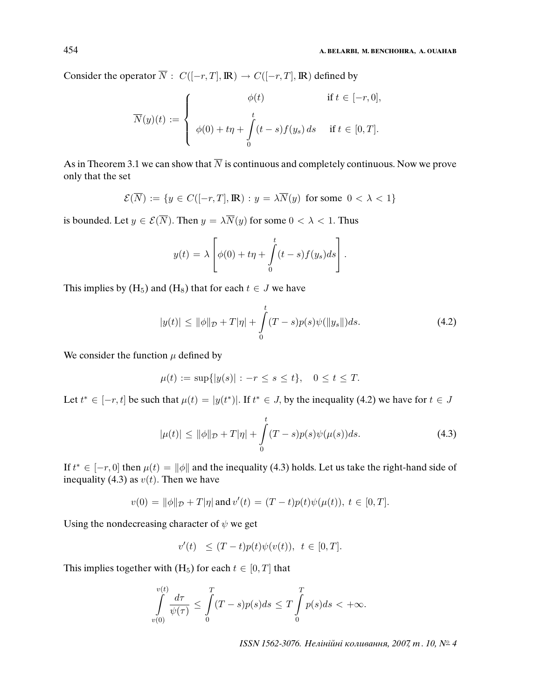Consider the operator  $\overline{N}$  :  $C([-r, T], \mathbb{R}) \rightarrow C([-r, T], \mathbb{R})$  defined by

$$
\overline{N}(y)(t) := \begin{cases}\n\phi(t) & \text{if } t \in [-r, 0], \\
\int_{0}^{t} (t - s) f(y_s) ds & \text{if } t \in [0, T].\n\end{cases}
$$

As in Theorem 3.1 we can show that  $\overline{N}$  is continuous and completely continuous. Now we prove only that the set

$$
\mathcal{E}(\overline{N}) := \{ y \in C([-r, T], \mathbb{R}) : y = \lambda \overline{N}(y) \text{ for some } 0 < \lambda < 1 \}
$$

is bounded. Let  $y \in \mathcal{E}(\overline{N})$ . Then  $y = \lambda \overline{N}(y)$  for some  $0 < \lambda < 1$ . Thus

$$
y(t) = \lambda \left[ \phi(0) + t\eta + \int_{0}^{t} (t-s)f(y_s)ds \right].
$$

This implies by  $(H_5)$  and  $(H_8)$  that for each  $t \in J$  we have

$$
|y(t)| \le ||\phi||_{\mathcal{D}} + T|\eta| + \int_{0}^{t} (T - s)p(s)\psi(||y_s||)ds.
$$
 (4.2)

We consider the function  $\mu$  defined by

$$
\mu(t) := \sup\{|y(s)| : -r \le s \le t\}, \quad 0 \le t \le T.
$$

Let  $t^* \in [-r, t]$  be such that  $\mu(t) = |y(t^*)|$ . If  $t^* \in J$ , by the inequality (4.2) we have for  $t \in J$ 

$$
|\mu(t)| \le ||\phi||_{\mathcal{D}} + T|\eta| + \int_{0}^{t} (T - s)p(s)\psi(\mu(s))ds.
$$
 (4.3)

If  $t^* \in [-r, 0]$  then  $\mu(t) = ||\phi||$  and the inequality (4.3) holds. Let us take the right-hand side of inequality (4.3) as  $v(t)$ . Then we have

$$
v(0) = \|\phi\|_{\mathcal{D}} + T|\eta| \text{ and } v'(t) = (T-t)p(t)\psi(\mu(t)), \ t \in [0,T].
$$

Using the nondecreasing character of  $\psi$  we get

$$
v'(t) \le (T-t)p(t)\psi(v(t)), \ t \in [0,T].
$$

This implies together with  $(H_5)$  for each  $t \in [0, T]$  that

$$
\int\limits_{v(0)}^{v(t)}\frac{d\tau}{\psi(\tau)}\leq \int\limits_{0}^{T}(T-s)p(s)ds\leq T\int\limits_{0}^{T}p(s)ds<+\infty.
$$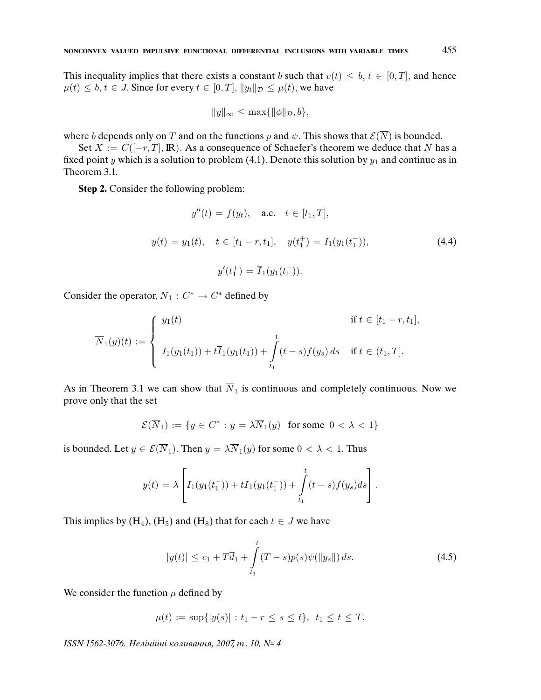This inequality implies that there exists a constant b such that  $v(t) \leq b, t \in [0, T]$ , and hence  $\mu(t) \leq b, t \in J$ . Since for every  $t \in [0, T], ||y_t||_{\mathcal{D}} \leq \mu(t)$ , we have

$$
||y||_{\infty} \leq \max{||\phi||_{\mathcal{D}}, b},
$$

where b depends only on T and on the functions p and  $\psi$ . This shows that  $\mathcal{E}(\overline{N})$  is bounded.

Set  $X := C([-r, T], \mathbb{R})$ . As a consequence of Schaefer's theorem we deduce that  $\overline{N}$  has a fixed point y which is a solution to problem (4.1). Denote this solution by  $y_1$  and continue as in Theorem 3.1.

**Step 2.** Consider the following problem:

$$
y''(t) = f(y_t), \quad \text{a.e.} \quad t \in [t_1, T],
$$
  

$$
y(t) = y_1(t), \quad t \in [t_1 - r, t_1], \quad y(t_1^+) = I_1(y_1(t_1^-)),
$$
  

$$
y'(t_1^+) = \overline{I}_1(y_1(t_1^-)).
$$
 (4.4)

Consider the operator,  $\overline{N}_1$  :  $C^* \to C^*$  defined by

$$
\overline{N}_1(y)(t) := \begin{cases} y_1(t) & \text{if } t \in [t_1 - r, t_1], \\ I_1(y_1(t_1)) + t\overline{I}_1(y_1(t_1)) + \int_{t_1}^t (t - s)f(y_s) ds & \text{if } t \in (t_1, T]. \end{cases}
$$

As in Theorem 3.1 we can show that  $\overline{N}_1$  is continuous and completely continuous. Now we prove only that the set

$$
\mathcal{E}(\overline{N}_1) := \{ y \in C^* : y = \lambda \overline{N}_1(y) \text{ for some } 0 < \lambda < 1 \}
$$

is bounded. Let  $y \in \mathcal{E}(\overline{N}_1)$ . Then  $y = \lambda \overline{N}_1(y)$  for some  $0 < \lambda < 1$ . Thus

$$
y(t) = \lambda \left[ I_1(y_1(t_1^-)) + t \overline{I}_1(y_1(t_1^-)) + \int_{t_1}^t (t-s) f(y_s) ds \right].
$$

This implies by  $(H_4)$ ,  $(H_5)$  and  $(H_8)$  that for each  $t \in J$  we have

$$
|y(t)| \le c_1 + T\overline{d}_1 + \int_{t_1}^t (T - s)p(s)\psi(\|y_s\|) ds.
$$
 (4.5)

We consider the function  $\mu$  defined by

 $\mu(t) := \sup\{|y(s)| : t_1 - r \leq s \leq t\}, t_1 \leq t \leq T.$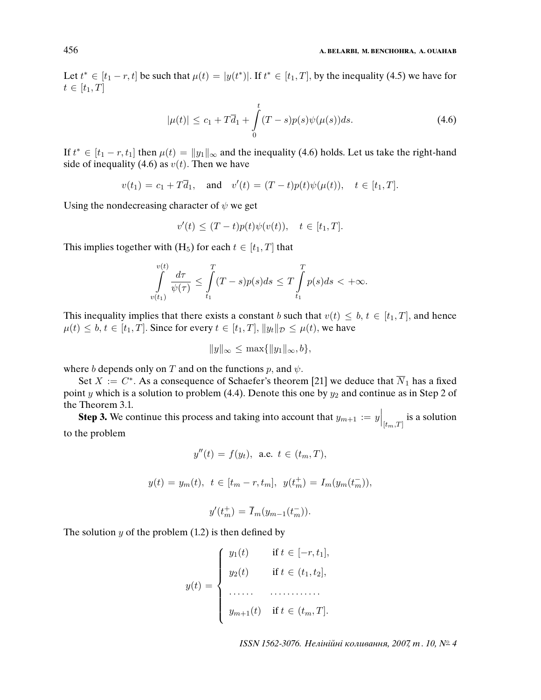Let  $t^* \in [t_1 - r, t]$  be such that  $\mu(t) = |y(t^*)|$ . If  $t^* \in [t_1, T]$ , by the inequality (4.5) we have for  $t \in [t_1, T]$ 

$$
|\mu(t)| \le c_1 + T\overline{d}_1 + \int_0^t (T - s)p(s)\psi(\mu(s))ds.
$$
 (4.6)

If  $t^* \in [t_1 - r, t_1]$  then  $\mu(t) = ||y_1||_{\infty}$  and the inequality (4.6) holds. Let us take the right-hand side of inequality (4.6) as  $v(t)$ . Then we have

 $v(t_1) = c_1 + T\overline{d}_1$ , and  $v'(t) = (T-t)p(t)\psi(\mu(t))$ ,  $t \in [t_1, T]$ .

Using the nondecreasing character of  $\psi$  we get

$$
v'(t) \le (T-t)p(t)\psi(v(t)), \quad t \in [t_1, T].
$$

This implies together with  $(H_5)$  for each  $t \in [t_1, T]$  that

$$
\int\limits_{v(t_1)}^{v(t)}\frac{d\tau}{\psi(\tau)}\leq \int\limits_{t_1}^T(T-s)p(s)ds\leq T\int\limits_{t_1}^T p(s)ds<+\infty.
$$

This inequality implies that there exists a constant b such that  $v(t) \leq b, t \in [t_1, T]$ , and hence  $\mu(t) \leq b, t \in [t_1, T]$ . Since for every  $t \in [t_1, T]$ ,  $||y_t||_{\mathcal{D}} \leq \mu(t)$ , we have

$$
||y||_{\infty} \leq \max\{||y_1||_{\infty}, b\},\
$$

where b depends only on T and on the functions p, and  $\psi$ .

Set  $X := C^*$ . As a consequence of Schaefer's theorem [21] we deduce that  $\overline{N}_1$  has a fixed point y which is a solution to problem (4.4). Denote this one by  $y_2$  and continue as in Step 2 of the Theorem 3.1.

**Step 3.** We continue this process and taking into account that  $y_{m+1} := y \Big|_{[t_m,T]}$  is a solution to the problem

$$
y''(t) = f(y_t)
$$
, a.e.  $t \in (t_m, T)$ ,

$$
y(t) = y_m(t), \ t \in [t_m - r, t_m], \ y(t_m^+) = I_m(y_m(t_m^-)),
$$

$$
y'(t_m^+) = \overline{I}_m(y_{m-1}(t_m^-)).
$$

The solution  $y$  of the problem  $(1.2)$  is then defined by

 $y(t) =$  $\sqrt{ }$  $\begin{array}{c} \end{array}$  $\begin{array}{c} \end{array}$  $y_1(t)$  if  $t \in [-r, t_1],$  $y_2(t)$  if  $t \in (t_1, t_2]$ , . . . . . . . . . . . . . . . . . .  $y_{m+1}(t)$  if  $t \in (t_m, T]$ .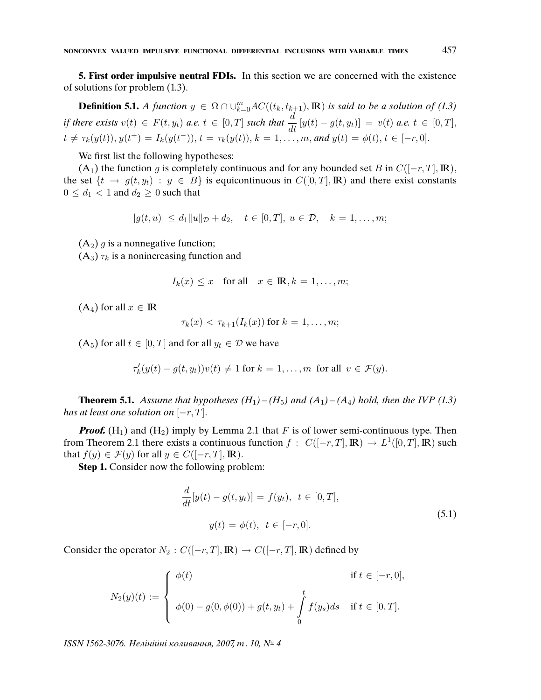**5. First order impulsive neutral FDIs.** In this section we are concerned with the existence of solutions for problem (1.3).

**Definition 5.1.** A function  $y \in \Omega \cap \bigcup_{k=0}^{m} AC((t_k, t_{k+1}), \mathbb{R})$  is said to be a solution of (1.3) if there exists  $v(t) \in F(t, y_t)$  a.e.  $t \in [0, T]$  such that  $\frac{d}{dt} [y(t) - g(t, y_t)] = v(t)$  a.e.  $t \in [0, T]$ ,  $t \neq \tau_k(y(t)), y(t^+) = I_k(y(t^-)), t = \tau_k(y(t)), k = 1, \ldots, m$ , and  $y(t) = \phi(t), t \in [-r, 0].$ 

We first list the following hypotheses:

(A<sub>1</sub>) the function g is completely continuous and for any bounded set B in  $C([-r, T], \mathbb{R})$ , the set  $\{t \to g(t, y_t) : y \in B\}$  is equicontinuous in  $C([0, T], \mathbb{R})$  and there exist constants  $0 \leq d_1 < 1$  and  $d_2 \geq 0$  such that

$$
|g(t, u)| \le d_1 \|u\|_{\mathcal{D}} + d_2, \quad t \in [0, T], \ u \in \mathcal{D}, \quad k = 1, \dots, m;
$$

 $(A_2)$  g is a nonnegative function;

 $(A_3)$   $\tau_k$  is a nonincreasing function and

$$
I_k(x) \le x \quad \text{for all} \quad x \in \mathbb{R}, k = 1, \dots, m;
$$

 $(A_4)$  for all  $x \in \mathbb{R}$ 

$$
\tau_k(x) < \tau_{k+1}(I_k(x)) \text{ for } k = 1, \ldots, m;
$$

 $(A_5)$  for all  $t \in [0, T]$  and for all  $y_t \in \mathcal{D}$  we have

$$
\tau'_k(y(t) - g(t, y_t))v(t) \neq 1 \text{ for } k = 1, \dots, m \text{ for all } v \in \mathcal{F}(y).
$$

**Theorem 5.1.** Assume that hypotheses  $(H_1) - (H_5)$  and  $(A_1) - (A_4)$  hold, then the IVP (1.3) has at least one solution on  $[-r, T]$ .

**Proof.**  $(H_1)$  and  $(H_2)$  imply by Lemma 2.1 that F is of lower semi-continuous type. Then from Theorem 2.1 there exists a continuous function  $f: C([-r,T], \mathbb{R}) \to L^1([0,T], \mathbb{R})$  such that  $f(y) \in \mathcal{F}(y)$  for all  $y \in C([-r, T], \mathbb{R})$ .

**Step 1.** Consider now the following problem:

$$
\frac{d}{dt}[y(t) - g(t, y_t)] = f(y_t), \ t \in [0, T],
$$
  

$$
y(t) = \phi(t), \ t \in [-r, 0].
$$
\n(5.1)

Consider the operator  $N_2$ :  $C([-r, T], \mathbb{R}) \rightarrow C([-r, T], \mathbb{R})$  defined by

$$
N_2(y)(t) := \begin{cases} \phi(t) & \text{if } t \in [-r, 0], \\ \phi(0) - g(0, \phi(0)) + g(t, y_t) + \int_0^t f(y_s) ds & \text{if } t \in [0, T]. \end{cases}
$$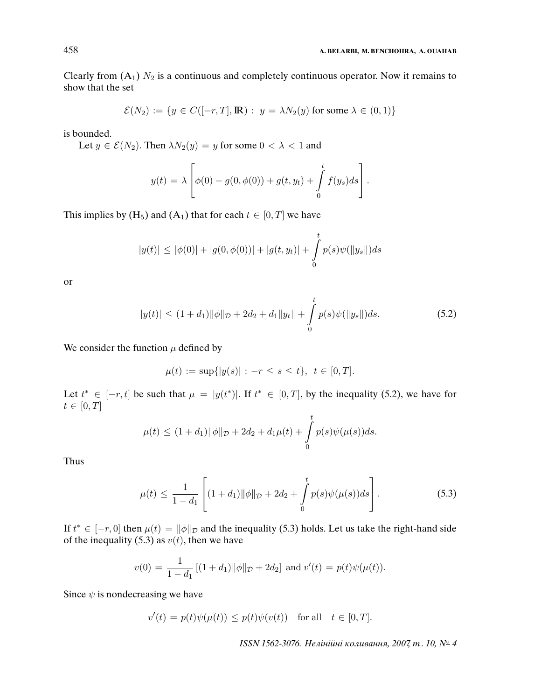Clearly from  $(A_1)$   $N_2$  is a continuous and completely continuous operator. Now it remains to show that the set

$$
\mathcal{E}(N_2) := \{ y \in C([-r, T], \mathbb{R}) : y = \lambda N_2(y) \text{ for some } \lambda \in (0, 1) \}
$$

is bounded.

Let  $y \in \mathcal{E}(N_2)$ . Then  $\lambda N_2(y) = y$  for some  $0 < \lambda < 1$  and

$$
y(t) = \lambda \left[ \phi(0) - g(0, \phi(0)) + g(t, y_t) + \int_0^t f(y_s) ds \right].
$$

This implies by (H<sub>5</sub>) and (A<sub>1</sub>) that for each  $t \in [0, T]$  we have

$$
|y(t)| \le |\phi(0)| + |g(0, \phi(0))| + |g(t, y_t)| + \int_0^t p(s)\psi(||y_s||)ds
$$

or

$$
|y(t)| \le (1+d_1) \|\phi\|_{\mathcal{D}} + 2d_2 + d_1 \|y_t\| + \int_0^t p(s)\psi(\|y_s\|)ds.
$$
 (5.2)

We consider the function  $\mu$  defined by

$$
\mu(t) := \sup\{|y(s)| : -r \le s \le t\}, \ t \in [0, T].
$$

Let  $t^* \in [-r, t]$  be such that  $\mu = |y(t^*)|$ . If  $t^* \in [0, T]$ , by the inequality (5.2), we have for  $t \in [0, T]$ 

$$
\mu(t) \le (1+d_1) \|\phi\|_{\mathcal{D}} + 2d_2 + d_1\mu(t) + \int_{0}^{t} p(s)\psi(\mu(s))ds.
$$

Thus

$$
\mu(t) \le \frac{1}{1-d_1} \left[ (1+d_1) \|\phi\|_{\mathcal{D}} + 2d_2 + \int_0^t p(s)\psi(\mu(s))ds \right]. \tag{5.3}
$$

If  $t^* \in [-r, 0]$  then  $\mu(t) = ||\phi||_{\mathcal{D}}$  and the inequality (5.3) holds. Let us take the right-hand side of the inequality (5.3) as  $v(t)$ , then we have

$$
v(0) = \frac{1}{1 - d_1} [(1 + d_1) ||\phi||_{\mathcal{D}} + 2d_2] \text{ and } v'(t) = p(t)\psi(\mu(t)).
$$

Since  $\psi$  is nondecreasing we have

$$
v'(t) = p(t)\psi(\mu(t)) \le p(t)\psi(v(t)) \quad \text{for all} \quad t \in [0, T].
$$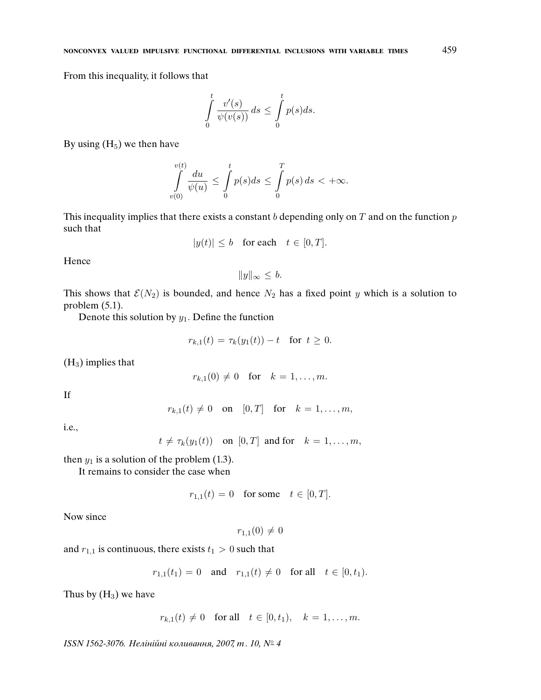From this inequality, it follows that

$$
\int_{0}^{t} \frac{v'(s)}{\psi(v(s))} ds \leq \int_{0}^{t} p(s) ds.
$$

By using  $(H_5)$  we then have

$$
\int\limits_{v(0)}^{v(t)}\frac{du}{\psi(u)}\leq \int\limits_{0}^{t}p(s)ds\leq \int\limits_{0}^{T}p(s)\,ds<+\infty.
$$

This inequality implies that there exists a constant b depending only on  $T$  and on the function  $p$ such that

$$
|y(t)| \le b \quad \text{for each} \quad t \in [0, T].
$$

Hence

 $||y||_{\infty}$  ≤ b.

This shows that  $\mathcal{E}(N_2)$  is bounded, and hence  $N_2$  has a fixed point y which is a solution to problem (5.1).

Denote this solution by  $y_1$ . Define the function

$$
r_{k,1}(t) = \tau_k(y_1(t)) - t \text{ for } t \ge 0.
$$

 $(H<sub>3</sub>)$  implies that

$$
r_{k,1}(0) \neq 0
$$
 for  $k = 1,...,m$ .

If

$$
r_{k,1}(t) \neq 0 \quad \text{on} \quad [0,T] \quad \text{for} \quad k = 1,\ldots,m,
$$

i.e.,

$$
t \neq \tau_k(y_1(t))
$$
 on  $[0, T]$  and for  $k = 1, ..., m$ ,

then  $y_1$  is a solution of the problem (1.3).

It remains to consider the case when

$$
r_{1,1}(t) = 0 \quad \text{for some} \quad t \in [0, T].
$$

Now since

$$
r_{1,1}(0)\neq 0
$$

and  $r_{1,1}$  is continuous, there exists  $t_1 > 0$  such that

$$
r_{1,1}(t_1) = 0
$$
 and  $r_{1,1}(t) \neq 0$  for all  $t \in [0, t_1)$ .

Thus by  $(H_3)$  we have

$$
r_{k,1}(t) \neq 0
$$
 for all  $t \in [0, t_1)$ ,  $k = 1, ..., m$ .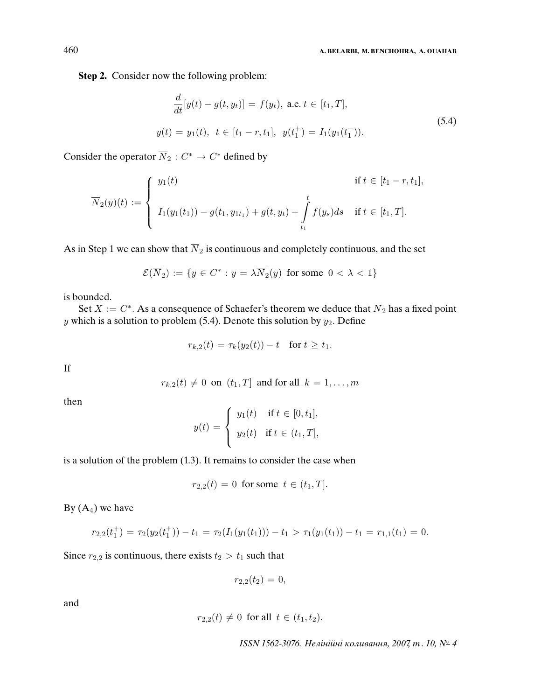**Step 2.** Consider now the following problem:

$$
\frac{d}{dt}[y(t) - g(t, y_t)] = f(y_t), \text{ a.e. } t \in [t_1, T],
$$
\n
$$
y(t) = y_1(t), \ t \in [t_1 - r, t_1], \ y(t_1^+) = I_1(y_1(t_1^-)).
$$
\n(5.4)

Consider the operator  $\overline{N}_2$  :  $C^* \to C^*$  defined by

$$
\overline{N}_2(y)(t) := \begin{cases}\ny_1(t) & \text{if } t \in [t_1 - r, t_1], \\
I_1(y_1(t_1)) - g(t_1, y_{1t_1}) + g(t, y_t) + \int_{t_1}^t f(y_s) ds & \text{if } t \in [t_1, T].\n\end{cases}
$$

As in Step 1 we can show that  $\overline{N}_2$  is continuous and completely continuous, and the set

$$
\mathcal{E}(\overline{N}_2):=\{y\in C^*: y=\lambda\overline{N}_2(y) \text{ for some } 0<\lambda<1\}
$$

is bounded.

Set  $X := C^*$ . As a consequence of Schaefer's theorem we deduce that  $\overline{N}_2$  has a fixed point y which is a solution to problem (5.4). Denote this solution by  $y_2$ . Define

$$
r_{k,2}(t) = \tau_k(y_2(t)) - t \quad \text{for } t \ge t_1.
$$

If

 $r_{k,2}(t) \neq 0$  on  $(t_1, T]$  and for all  $k = 1, \ldots, m$ 

then

$$
y(t) = \begin{cases} y_1(t) & \text{if } t \in [0, t_1], \\ y_2(t) & \text{if } t \in (t_1, T], \end{cases}
$$

is a solution of the problem (1.3). It remains to consider the case when

$$
r_{2,2}(t) = 0
$$
 for some  $t \in (t_1, T]$ .

By  $(A_4)$  we have

$$
r_{2,2}(t_1^+) = \tau_2(y_2(t_1^+)) - t_1 = \tau_2(I_1(y_1(t_1))) - t_1 > \tau_1(y_1(t_1)) - t_1 = r_{1,1}(t_1) = 0.
$$

Since  $r_{2,2}$  is continuous, there exists  $t_2 > t_1$  such that

$$
r_{2,2}(t_2)=0,
$$

and

$$
r_{2,2}(t) \neq 0
$$
 for all  $t \in (t_1, t_2)$ .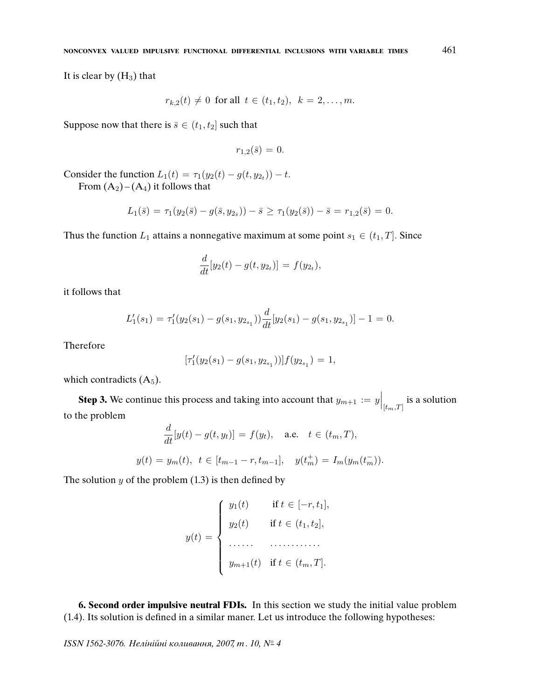It is clear by  $(H_3)$  that

$$
r_{k,2}(t) \neq 0
$$
 for all  $t \in (t_1, t_2)$ ,  $k = 2, ..., m$ 

Suppose now that there is  $\bar{s} \in (t_1, t_2]$  such that

$$
r_{1,2}(\bar{s})=0.
$$

Consider the function  $L_1(t) = \tau_1(y_2(t) - g(t, y_{2t})) - t$ .

From  $(A_2) - (A_4)$  it follows that

$$
L_1(\bar{s}) = \tau_1(y_2(\bar{s}) - g(\bar{s}, y_{2_{\bar{s}}})) - \bar{s} \ge \tau_1(y_2(\bar{s})) - \bar{s} = r_{1,2}(\bar{s}) = 0.
$$

Thus the function  $L_1$  attains a nonnegative maximum at some point  $s_1 \in (t_1, T]$ . Since

$$
\frac{d}{dt}[y_2(t) - g(t, y_{2t})] = f(y_{2t}),
$$

it follows that

$$
L'_1(s_1) = \tau'_1(y_2(s_1) - g(s_1, y_{2s_1})) \frac{d}{dt} [y_2(s_1) - g(s_1, y_{2s_1})] - 1 = 0.
$$

Therefore

$$
[\tau_1'(y_2(s_1) - g(s_1, y_{2s_1}))]f(y_{2s_1}) = 1,
$$

which contradicts  $(A_5)$ .

**Step 3.** We continue this process and taking into account that  $y_{m+1} := y \Big|_{[t_m,T]}$  is a solution to the problem  $\overline{d}$ 

$$
\frac{d}{dt}[y(t) - g(t, y_t)] = f(y_t), \quad \text{a.e.} \quad t \in (t_m, T),
$$
  

$$
y(t) = y_m(t), \quad t \in [t_{m-1} - r, t_{m-1}], \quad y(t_m^+) = I_m(y_m(t_m^-)).
$$

The solution  $y$  of the problem  $(1.3)$  is then defined by

$$
y(t) = \begin{cases} y_1(t) & \text{if } t \in [-r, t_1], \\ y_2(t) & \text{if } t \in (t_1, t_2], \\ \dots & \dots & \dots \\ y_{m+1}(t) & \text{if } t \in (t_m, T]. \end{cases}
$$

**6. Second order impulsive neutral FDIs.** In this section we study the initial value problem (1.4). Its solution is defined in a similar maner. Let us introduce the following hypotheses: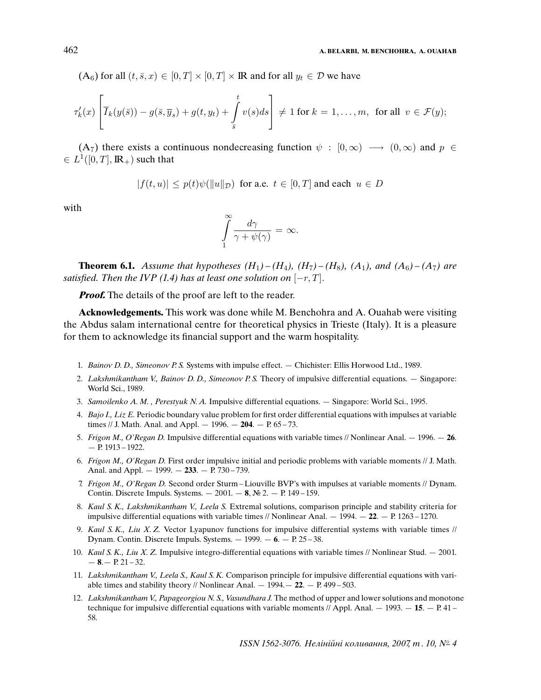$(A_6)$  for all  $(t, \bar{s}, x) \in [0, T] \times [0, T] \times \mathbb{R}$  and for all  $y_t \in \mathcal{D}$  we have

$$
\tau'_k(x)\left[\overline{I}_k(y(\bar{s})) - g(\bar{s}, \overline{y}_s) + g(t, y_t) + \int_{\bar{s}}^t v(s)ds\right] \neq 1 \text{ for } k = 1, \dots, m, \text{ for all } v \in \mathcal{F}(y);
$$

 $(A_7)$  there exists a continuous nondecreasing function  $\psi : [0,\infty) \longrightarrow (0,\infty)$  and  $p \in$  $\in L^1([0,T],{\rm I\! R}_+)$  such that

$$
|f(t, u)| \le p(t)\psi(||u||_{\mathcal{D}}) \text{ for a.e. } t \in [0, T] \text{ and each } u \in D
$$

with

$$
\int_{1}^{\infty} \frac{d\gamma}{\gamma + \psi(\gamma)} = \infty.
$$

**Theorem 6.1.** Assume that hypotheses  $(H_1) - (H_4)$ ,  $(H_7) - (H_8)$ ,  $(A_1)$ , and  $(A_6) - (A_7)$  are satisfied. Then the IVP (1.4) has at least one solution on  $[-r, T]$ .

**Proof.** The details of the proof are left to the reader.

**Acknowledgements.** This work was done while M. Benchohra and A. Ouahab were visiting the Abdus salam international centre for theoretical physics in Trieste (Italy). It is a pleasure for them to acknowledge its financial support and the warm hospitality.

- 1. Bainov D. D., Simeonov P. S. Systems with impulse effect. Chichister: Ellis Horwood Ltd., 1989.
- 2. Lakshmikantham V., Bainov D. D., Simeonov P. S. Theory of impulsive differential equations.  $-$  Singapore: World Sci., 1989.
- 3. Samoilenko A. M. , Perestyuk N. A. Impulsive differential equations. Singapore: World Sci., 1995.
- 4. Bajo I., Liz E. Periodic boundary value problem for first order differential equations with impulses at variable times // J. Math. Anal. and Appl. — 1996. — **204**. — P. 65 – 73.
- 5. Frigon M., O'Regan D. Impulsive differential equations with variable times // Nonlinear Anal. 1996. **26**. — P. 1913 – 1922.
- 6. Frigon M., O'Regan D. First order impulsive initial and periodic problems with variable moments // J. Math. Anal. and Appl. — 1999. — **233**. — P. 730 – 739.
- 7. Frigon M., O'Regan D. Second order Sturm –Liouville BVP's with impulses at variable moments // Dynam. Contin. Discrete Impuls. Systems. — 2001. — **8**, № 2. — P. 149 – 159.
- 8. Kaul S. K., Lakshmikantham V., Leela S. Extremal solutions, comparison principle and stability criteria for impulsive differential equations with variable times // Nonlinear Anal. — 1994. — **22**. — P. 1263 – 1270.
- 9. Kaul S. K., Liu X. Z. Vector Lyapunov functions for impulsive differential systems with variable times  $\frac{1}{2}$ Dynam. Contin. Discrete Impuls. Systems. — 1999. — **6**. — P. 25 – 38.
- 10. Kaul S. K., Liu X. Z. Impulsive integro-differential equations with variable times // Nonlinear Stud.  $-$  2001.  $-8 - P. 21 - 32.$
- 11. Lakshmikantham V., Leela S., Kaul S. K. Comparison principle for impulsive differential equations with variable times and stability theory // Nonlinear Anal.  $-1994 - 22$ .  $- P. 499 - 503$ .
- 12. Lakshmikantham V., Papageorgiou N. S., Vasundhara J. The method of upper and lower solutions and monotone technique for impulsive differential equations with variable moments  $//$  Appl. Anal.  $-$  1993.  $-$  **15**.  $-$  P. 41  $-$ 58.